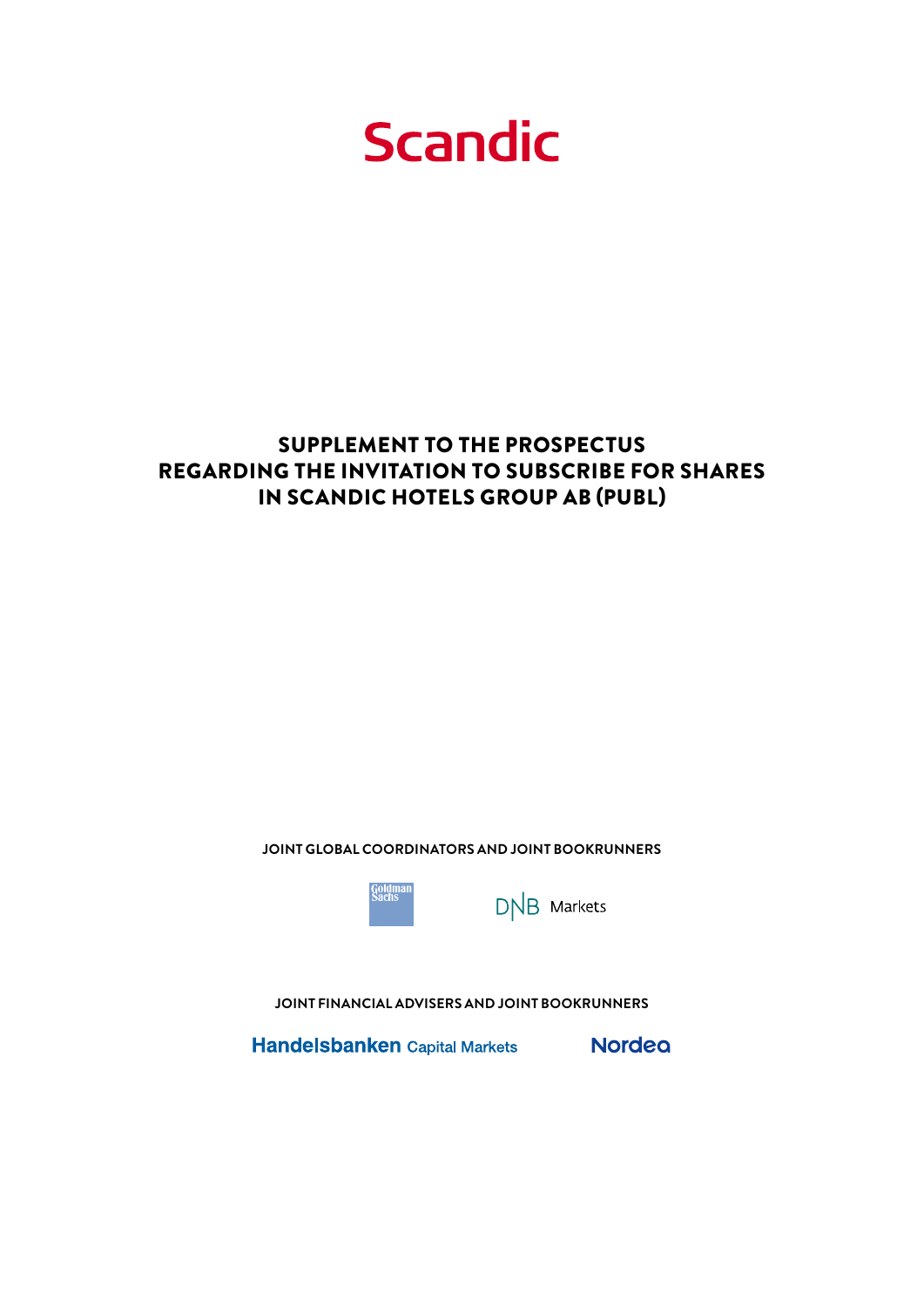**Scandic** 

### SUPPLEMENT TO THE PROSPECTUS REGARDING THE INVITATION TO SUBSCRIBE FOR SHARES IN SCANDIC HOTELS GROUP AB (PUBL)

**JOINT GLOBAL COORDINATORS AND JOINT BOOKRUNNERS**



 $DNB$  Markets

**JOINT FINANCIAL ADVISERS AND JOINT BOOKRUNNERS**

Handelsbanken Capital Markets Nordeo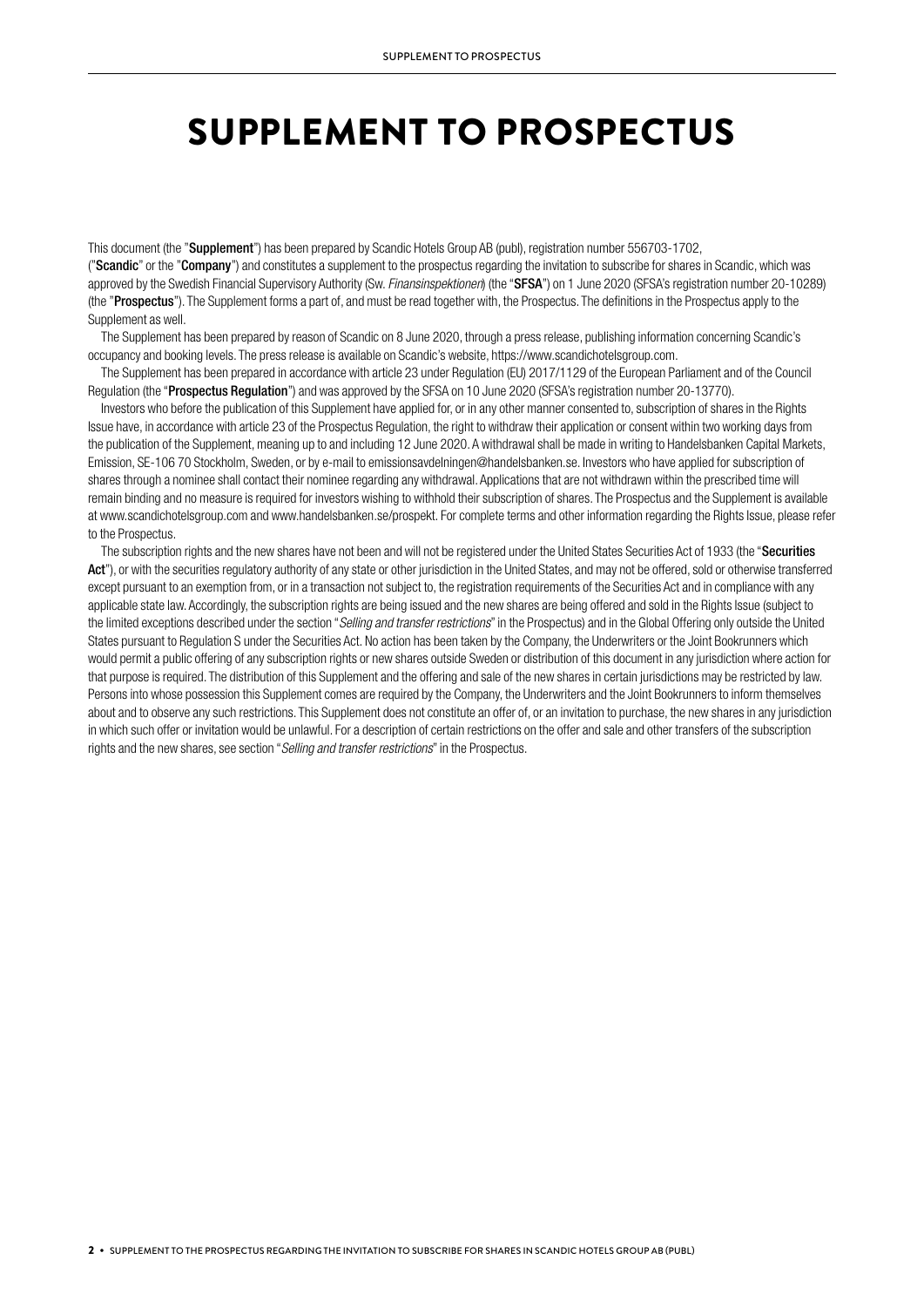# SUPPLEMENT TO PROSPECTUS

This document (the "Supplement") has been prepared by Scandic Hotels Group AB (publ), registration number 556703-1702, ("Scandic" or the "Company") and constitutes a supplement to the prospectus regarding the invitation to subscribe for shares in Scandic, which was approved by the Swedish Financial Supervisory Authority (Sw. *Finansinspektionen*) (the "SFSA") on 1 June 2020 (SFSA's registration number 20-10289) (the "Prospectus"). The Supplement forms a part of, and must be read together with, the Prospectus. The definitions in the Prospectus apply to the Supplement as well.

The Supplement has been prepared by reason of Scandic on 8 June 2020, through a press release, publishing information concerning Scandic's occupancy and booking levels. The press release is available on Scandic's website, https://www.scandichotelsgroup.com.

The Supplement has been prepared in accordance with article 23 under Regulation (EU) 2017/1129 of the European Parliament and of the Council Regulation (the "Prospectus Regulation") and was approved by the SFSA on 10 June 2020 (SFSA's registration number 20-13770).

Investors who before the publication of this Supplement have applied for, or in any other manner consented to, subscription of shares in the Rights Issue have, in accordance with article 23 of the Prospectus Regulation, the right to withdraw their application or consent within two working days from the publication of the Supplement, meaning up to and including 12 June 2020. A withdrawal shall be made in writing to Handelsbanken Capital Markets, Emission, SE-106 70 Stockholm, Sweden, or by e-mail to emissionsavdelningen@handelsbanken.se. Investors who have applied for subscription of shares through a nominee shall contact their nominee regarding any withdrawal. Applications that are not withdrawn within the prescribed time will remain binding and no measure is required for investors wishing to withhold their subscription of shares. The Prospectus and the Supplement is available at www.scandichotelsgroup.com and www.handelsbanken.se/prospekt. For complete terms and other information regarding the Rights Issue, please refer to the Prospectus.

The subscription rights and the new shares have not been and will not be registered under the United States Securities Act of 1933 (the "Securities Act"), or with the securities regulatory authority of any state or other jurisdiction in the United States, and may not be offered, sold or otherwise transferred except pursuant to an exemption from, or in a transaction not subject to, the registration requirements of the Securities Act and in compliance with any applicable state law. Accordingly, the subscription rights are being issued and the new shares are being offered and sold in the Rights Issue (subject to the limited exceptions described under the section "*Selling and transfer restrictions*" in the Prospectus) and in the Global Offering only outside the United States pursuant to Regulation S under the Securities Act. No action has been taken by the Company, the Underwriters or the Joint Bookrunners which would permit a public offering of any subscription rights or new shares outside Sweden or distribution of this document in any jurisdiction where action for that purpose is required. The distribution of this Supplement and the offering and sale of the new shares in certain jurisdictions may be restricted by law. Persons into whose possession this Supplement comes are required by the Company, the Underwriters and the Joint Bookrunners to inform themselves about and to observe any such restrictions. This Supplement does not constitute an offer of, or an invitation to purchase, the new shares in any jurisdiction in which such offer or invitation would be unlawful. For a description of certain restrictions on the offer and sale and other transfers of the subscription rights and the new shares, see section "*Selling and transfer restrictions*" in the Prospectus.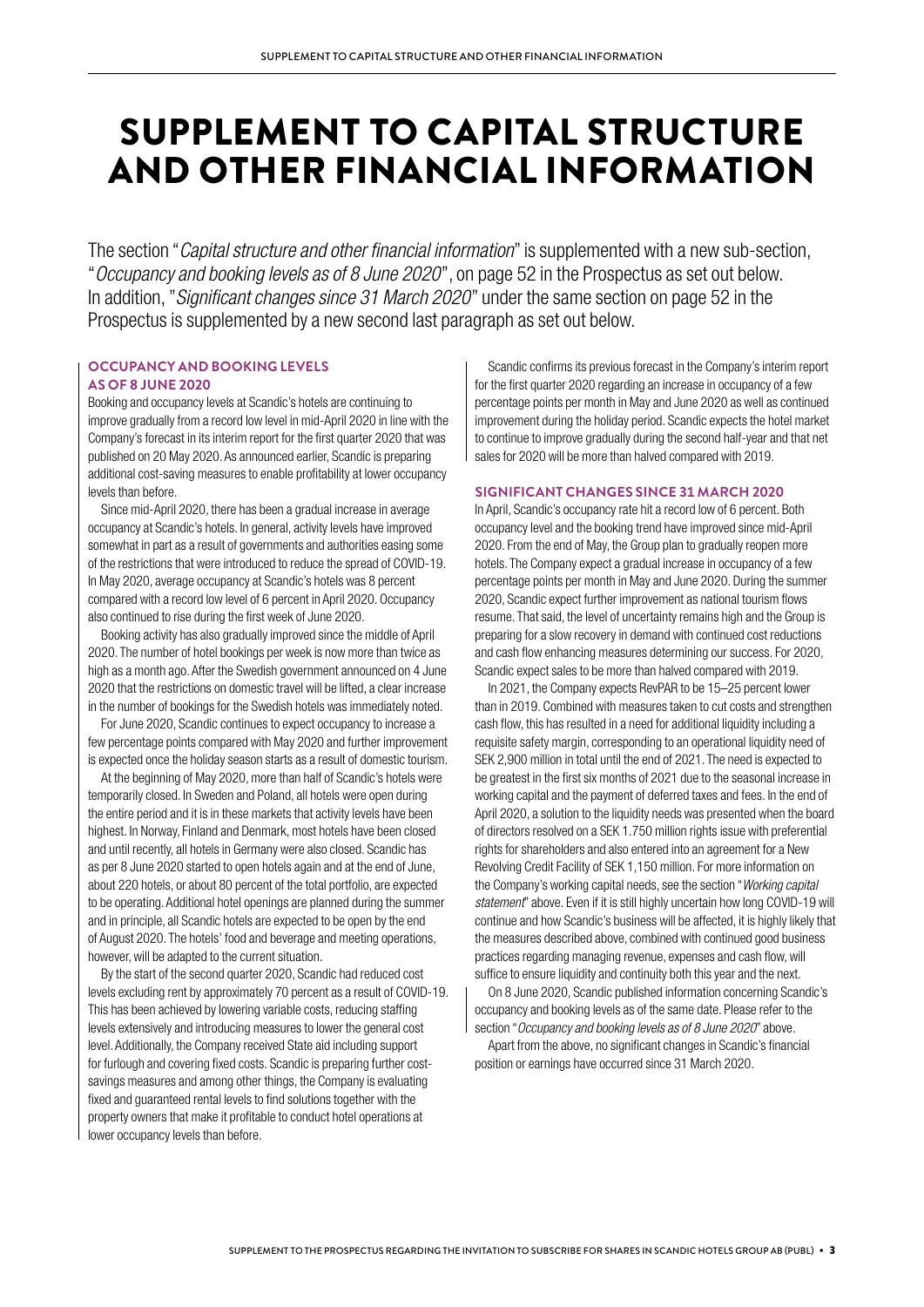## SUPPLEMENT TO CAPITAL STRUCTURE AND OTHER FINANCIAL INFORMATION

The section "*Capital structure and other financial information*" is supplemented with a new sub-section, "*Occupancy and booking levels as of 8 June 2020*", on page 52 in the Prospectus as set out below. In addition, "*Significant changes since 31 March 2020*" under the same section on page 52 in the Prospectus is supplemented by a new second last paragraph as set out below.

### **OCCUPANCY AND BOOKING LEVELS AS OF 8 JUNE 2020**

Booking and occupancy levels at Scandic's hotels are continuing to improve gradually from a record low level in mid-April 2020 in line with the Company's forecast in its interim report for the first quarter 2020 that was published on 20 May 2020. As announced earlier, Scandic is preparing additional cost-saving measures to enable profitability at lower occupancy levels than before.

Since mid-April 2020, there has been a gradual increase in average occupancy at Scandic's hotels. In general, activity levels have improved somewhat in part as a result of governments and authorities easing some of the restrictions that were introduced to reduce the spread of COVID-19. In May 2020, average occupancy at Scandic's hotels was 8 percent compared with a record low level of 6 percent in April 2020. Occupancy also continued to rise during the first week of June 2020.

Booking activity has also gradually improved since the middle of April 2020. The number of hotel bookings per week is now more than twice as high as a month ago. After the Swedish government announced on 4 June 2020 that the restrictions on domestic travel will be lifted, a clear increase in the number of bookings for the Swedish hotels was immediately noted.

For June 2020, Scandic continues to expect occupancy to increase a few percentage points compared with May 2020 and further improvement is expected once the holiday season starts as a result of domestic tourism.

At the beginning of May 2020, more than half of Scandic's hotels were temporarily closed. In Sweden and Poland, all hotels were open during the entire period and it is in these markets that activity levels have been highest. In Norway, Finland and Denmark, most hotels have been closed and until recently, all hotels in Germany were also closed. Scandic has as per 8 June 2020 started to open hotels again and at the end of June, about 220 hotels, or about 80 percent of the total portfolio, are expected to be operating. Additional hotel openings are planned during the summer and in principle, all Scandic hotels are expected to be open by the end of August 2020. The hotels' food and beverage and meeting operations, however, will be adapted to the current situation.

By the start of the second quarter 2020, Scandic had reduced cost levels excluding rent by approximately 70 percent as a result of COVID-19. This has been achieved by lowering variable costs, reducing staffing levels extensively and introducing measures to lower the general cost level. Additionally, the Company received State aid including support for furlough and covering fixed costs. Scandic is preparing further costsavings measures and among other things, the Company is evaluating fixed and guaranteed rental levels to find solutions together with the property owners that make it profitable to conduct hotel operations at lower occupancy levels than before.

Scandic confirms its previous forecast in the Company's interim report for the first quarter 2020 regarding an increase in occupancy of a few percentage points per month in May and June 2020 as well as continued improvement during the holiday period. Scandic expects the hotel market to continue to improve gradually during the second half-year and that net sales for 2020 will be more than halved compared with 2019.

#### **SIGNIFICANT CHANGES SINCE 31 MARCH 2020**

In April, Scandic's occupancy rate hit a record low of 6 percent. Both occupancy level and the booking trend have improved since mid-April 2020. From the end of May, the Group plan to gradually reopen more hotels. The Company expect a gradual increase in occupancy of a few percentage points per month in May and June 2020. During the summer 2020, Scandic expect further improvement as national tourism flows resume. That said, the level of uncertainty remains high and the Group is preparing for a slow recovery in demand with continued cost reductions and cash flow enhancing measures determining our success. For 2020, Scandic expect sales to be more than halved compared with 2019.

In 2021, the Company expects RevPAR to be 15–25 percent lower than in 2019. Combined with measures taken to cut costs and strengthen cash flow, this has resulted in a need for additional liquidity including a requisite safety margin, corresponding to an operational liquidity need of SEK 2,900 million in total until the end of 2021. The need is expected to be greatest in the first six months of 2021 due to the seasonal increase in working capital and the payment of deferred taxes and fees. In the end of April 2020, a solution to the liquidity needs was presented when the board of directors resolved on a SEK 1.750 million rights issue with preferential rights for shareholders and also entered into an agreement for a New Revolving Credit Facility of SEK 1,150 million. For more information on the Company's working capital needs, see the section "*Working capital statement*" above. Even if it is still highly uncertain how long COVID-19 will continue and how Scandic's business will be affected, it is highly likely that the measures described above, combined with continued good business practices regarding managing revenue, expenses and cash flow, will suffice to ensure liquidity and continuity both this year and the next.

On 8 June 2020, Scandic published information concerning Scandic's occupancy and booking levels as of the same date. Please refer to the section "*Occupancy and booking levels as of 8 June 2020*" above.

Apart from the above, no significant changes in Scandic's financial position or earnings have occurred since 31 March 2020.